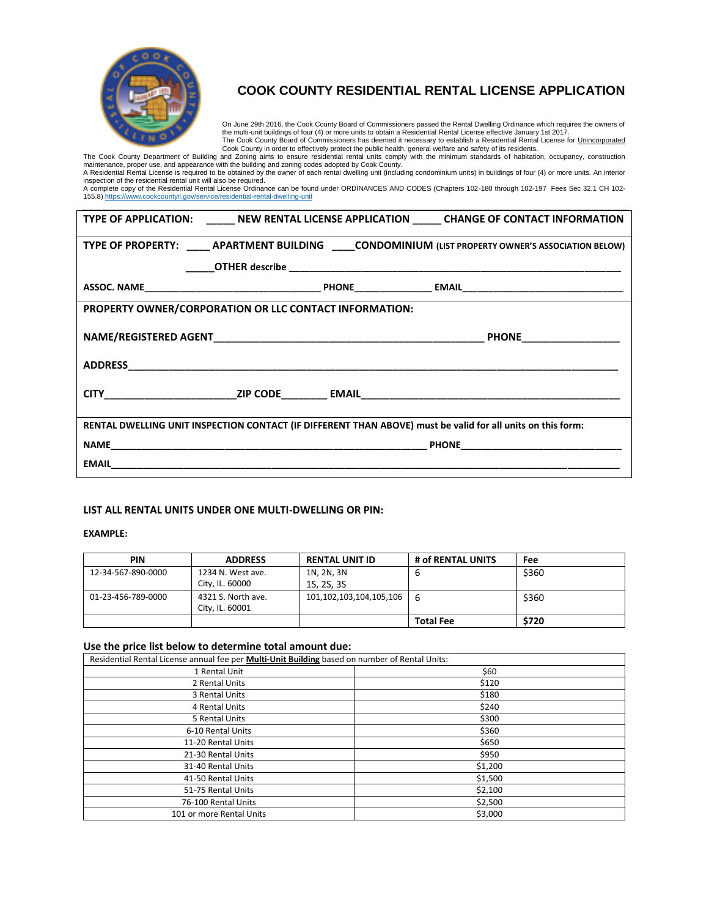

# **COOK COUNTY RESIDENTIAL RENTAL LICENSE APPLICATION**

On June 29th 2016, the Cook County Board of Commissioners passed the Rental Dwelling Ordinance which requires the owners of the multi-unit buildings of four (4) or more units to obtain a Residential Rental License effective January 1st 2017.<br>The Cook County Board of Commissioners has deemed it necessary to establish a Residential Rental License

Cook County in order to effectively protect the public health, general welfare and safety of its residents.<br>The Cook County Department of Building and Zoning aims to ensure residential rental units comply with the minimum

inspection of the residential rental unit will also be required.

A complete copy of the Residential Rental License Ordinance can be found under ORDINANCES AND CODES (Chapters 102-180 through 102-197 Fees Sec 32.1 CH 102-<br>155.8) https://www.cookcountyil.gov/service/residential-rental-dwe

|                                                                                                             |  | TYPE OF APPLICATION: _______ NEW RENTAL LICENSE APPLICATION ______ CHANGE OF CONTACT INFORMATION |  |  |  |  |
|-------------------------------------------------------------------------------------------------------------|--|--------------------------------------------------------------------------------------------------|--|--|--|--|
| TYPE OF PROPERTY: ______ APARTMENT BUILDING _____ CONDOMINIUM (LIST PROPERTY OWNER'S ASSOCIATION BELOW)     |  |                                                                                                  |  |  |  |  |
|                                                                                                             |  |                                                                                                  |  |  |  |  |
|                                                                                                             |  |                                                                                                  |  |  |  |  |
| <b>PROPERTY OWNER/CORPORATION OR LLC CONTACT INFORMATION:</b>                                               |  |                                                                                                  |  |  |  |  |
|                                                                                                             |  |                                                                                                  |  |  |  |  |
|                                                                                                             |  |                                                                                                  |  |  |  |  |
|                                                                                                             |  |                                                                                                  |  |  |  |  |
| RENTAL DWELLING UNIT INSPECTION CONTACT (IF DIFFERENT THAN ABOVE) must be valid for all units on this form: |  |                                                                                                  |  |  |  |  |
|                                                                                                             |  |                                                                                                  |  |  |  |  |
|                                                                                                             |  |                                                                                                  |  |  |  |  |

### **LIST ALL RENTAL UNITS UNDER ONE MULTI-DWELLING OR PIN:**

#### **EXAMPLE:**

| <b>PIN</b>         | <b>ADDRESS</b>     | <b>RENTAL UNIT ID</b>   | # of RENTAL UNITS | Fee   |
|--------------------|--------------------|-------------------------|-------------------|-------|
| 12-34-567-890-0000 | 1234 N. West ave.  | 1N, 2N, 3N              | b                 | \$360 |
|                    | City, IL. 60000    | 1S, 2S, 3S              |                   |       |
| 01-23-456-789-0000 | 4321 S. North ave. | 101,102,103,104,105,106 | -6                | \$360 |
|                    | City. IL. 60001    |                         |                   |       |
|                    |                    |                         | <b>Total Fee</b>  | \$720 |

#### **Use the price list below to determine total amount due:**

| Residential Rental License annual fee per Multi-Unit Building based on number of Rental Units: |         |  |  |  |
|------------------------------------------------------------------------------------------------|---------|--|--|--|
| 1 Rental Unit                                                                                  | \$60    |  |  |  |
| 2 Rental Units                                                                                 | \$120   |  |  |  |
| 3 Rental Units                                                                                 | \$180   |  |  |  |
| 4 Rental Units                                                                                 | \$240   |  |  |  |
| 5 Rental Units                                                                                 | \$300   |  |  |  |
| 6-10 Rental Units                                                                              | \$360   |  |  |  |
| 11-20 Rental Units                                                                             | \$650   |  |  |  |
| 21-30 Rental Units                                                                             | \$950   |  |  |  |
| 31-40 Rental Units                                                                             | \$1,200 |  |  |  |
| 41-50 Rental Units                                                                             | \$1,500 |  |  |  |
| 51-75 Rental Units                                                                             | \$2,100 |  |  |  |
| 76-100 Rental Units                                                                            | \$2,500 |  |  |  |
| 101 or more Rental Units                                                                       | \$3,000 |  |  |  |